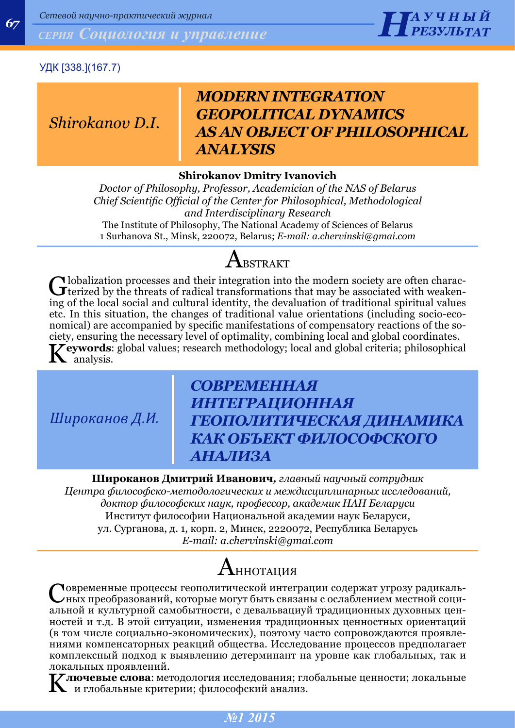**67 НАЗИЛЬ СОЦИОЛОГИЯ И УПРАВЛЕНИЕ** 



### УДК [338.](167.7)

### *Shirokanov D.I.*

## *MODERN INTEGRATION GEOPOLITICAL DYNAMICS AS AN OBJECT OF PHILOSOPHICAL ANALYSIS*

### **Shirokanov Dmitry Ivanovich**

*Doctor of Philosophy, Professor, Academician of the NAS of Belarus Chief Scientific Official of the Center for Philosophical, Methodological and Interdisciplinary Research* The Institute of Philosophy, The National Academy of Sciences of Belarus 1 Surhanova St., Minsk, 220072, Belarus; *E-mail: [a.chervinski@gmai.com](mailto:a.chervinski@gmai.com)*

# ${\bf A}$ bstrakt

Globalization processes and their integration into the modern society are often charac-<br>terized by the threats of radical transformations that may be associated with weaken-<br>integration of the distinct may be associated wi ing of the local social and cultural identity, the devaluation of traditional spiritual values etc. In this situation, the changes of traditional value orientations (including socio-economical) are accompanied by specific manifestations of compensatory reactions of the society, ensuring the necessary level of optimality, combining local and global coordinates. **T** eywords: global values; research methodology; local and global criteria; philosophical analysis.

*Широканов Д.И.*

## *СОВРЕМЕННАЯ ИНТЕГРАЦИОННАЯ ГЕОПОЛИТИЧЕСКАЯ ДИНАМИКА КАК ОБЪЕКТ ФИЛОСОФСКОГО АНАЛИЗА*

**Широканов Дмитрий Иванович***, главный научный сотрудник Центра философско-методологических и междисциплинарных исследований, доктор философских наук, профессор, академик НАН Беларуси* Институт философии Национальной академии наук Беларуси, ул. Сурганова, д. 1, корп. 2, Минск, 2220072, Республика Беларусь *E-mail: a.chervinski@gmai.com*

# ${\rm A}$ ннотация

Современные процессы геополитической интеграции содержат угрозу радикальных преобразований, которые могут быть связаны с ослаблением местной социальной и культурной самобытности, с девальвациуй традиционных духовных ценностей и т.д. В этой ситуации, изменения традиционных ценностных ориентаций (в том числе социально-экономических), поэтому часто сопровождаются проявлениями компенсаторных реакций общества. Исследование процессов предполагает комплексный подход к выявлению детерминант на уровне как глобальных, так и локальных проявлений.

K**лючевые слова**: методология исследования; глобальные ценности; локальные и глобальные критерии; философский анализ.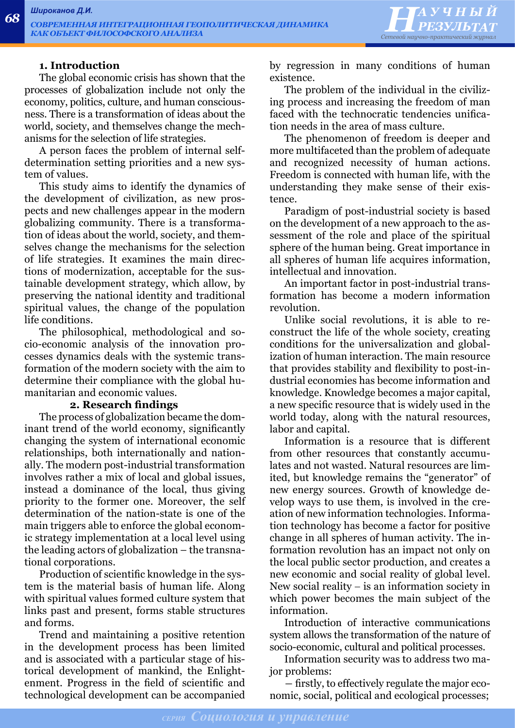

#### **1. Introduction**

The global economic crisis has shown that the processes of globalization include not only the economy, politics, culture, and human consciousness. There is a transformation of ideas about the world, society, and themselves change the mechanisms for the selection of life strategies.

A person faces the problem of internal selfdetermination setting priorities and a new system of values.

This study aims to identify the dynamics of the development of civilization, as new prospects and new challenges appear in the modern globalizing community. There is a transformation of ideas about the world, society, and themselves change the mechanisms for the selection of life strategies. It examines the main directions of modernization, acceptable for the sustainable development strategy, which allow, by preserving the national identity and traditional spiritual values, the change of the population life conditions.

The philosophical, methodological and socio-economic analysis of the innovation processes dynamics deals with the systemic transformation of the modern society with the aim to determine their compliance with the global humanitarian and economic values.

### **2. Research findings**

The process of globalization became the dominant trend of the world economy, significantly changing the system of international economic relationships, both internationally and nationally. The modern post-industrial transformation involves rather a mix of local and global issues, instead a dominance of the local, thus giving priority to the former one. Moreover, the self determination of the nation-state is one of the main triggers able to enforce the global economic strategy implementation at a local level using the leading actors of globalization – the transnational corporations.

Production of scientific knowledge in the system is the material basis of human life. Along with spiritual values formed culture system that links past and present, forms stable structures and forms.

Trend and maintaining a positive retention in the development process has been limited and is associated with a particular stage of historical development of mankind, the Enlightenment. Progress in the field of scientific and technological development can be accompanied

by regression in many conditions of human existence.

The problem of the individual in the civilizing process and increasing the freedom of man faced with the technocratic tendencies unification needs in the area of mass culture.

The phenomenon of freedom is deeper and more multifaceted than the problem of adequate and recognized necessity of human actions. Freedom is connected with human life, with the understanding they make sense of their existence.

Paradigm of post-industrial society is based on the development of a new approach to the assessment of the role and place of the spiritual sphere of the human being. Great importance in all spheres of human life acquires information, intellectual and innovation.

An important factor in post-industrial transformation has become a modern information revolution.

Unlike social revolutions, it is able to reconstruct the life of the whole society, creating conditions for the universalization and globalization of human interaction. The main resource that provides stability and flexibility to post-industrial economies has become information and knowledge. Knowledge becomes a major capital, a new specific resource that is widely used in the world today, along with the natural resources, labor and capital.

Information is a resource that is different from other resources that constantly accumulates and not wasted. Natural resources are limited, but knowledge remains the "generator" of new energy sources. Growth of knowledge develop ways to use them, is involved in the creation of new information technologies. Information technology has become a factor for positive change in all spheres of human activity. The information revolution has an impact not only on the local public sector production, and creates a new economic and social reality of global level. New social reality  $-$  is an information society in which power becomes the main subject of the information.

Introduction of interactive communications system allows the transformation of the nature of socio-economic, cultural and political processes.

Information security was to address two major problems:

― firstly, to effectively regulate the major economic, social, political and ecological processes;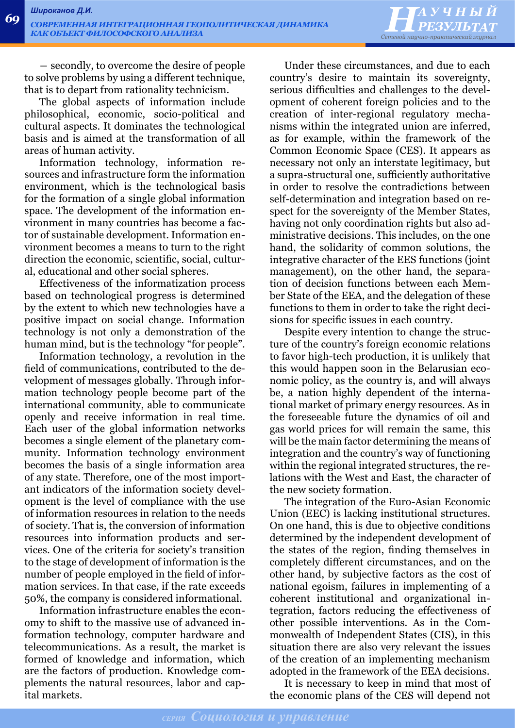

― secondly, to overcome the desire of people to solve problems by using a different technique, that is to depart from rationality technicism.

The global aspects of information include philosophical, economic, socio-political and cultural aspects. It dominates the technological basis and is aimed at the transformation of all areas of human activity.

Information technology, information resources and infrastructure form the information environment, which is the technological basis for the formation of a single global information space. The development of the information environment in many countries has become a factor of sustainable development. Information environment becomes a means to turn to the right direction the economic, scientific, social, cultural, educational and other social spheres.

Effectiveness of the informatization process based on technological progress is determined by the extent to which new technologies have a positive impact on social change. Information technology is not only a demonstration of the human mind, but is the technology "for people".

Information technology, a revolution in the field of communications, contributed to the development of messages globally. Through information technology people become part of the international community, able to communicate openly and receive information in real time. Each user of the global information networks becomes a single element of the planetary community. Information technology environment becomes the basis of a single information area of any state. Therefore, one of the most important indicators of the information society development is the level of compliance with the use of information resources in relation to the needs of society. That is, the conversion of information resources into information products and services. One of the criteria for society's transition to the stage of development of information is the number of people employed in the field of information services. In that case, if the rate exceeds 50%, the company is considered informational.

Information infrastructure enables the economy to shift to the massive use of advanced information technology, computer hardware and telecommunications. As a result, the market is formed of knowledge and information, which are the factors of production. Knowledge complements the natural resources, labor and capital markets.

Under these circumstances, and due to each country's desire to maintain its sovereignty, serious difficulties and challenges to the development of coherent foreign policies and to the creation of inter-regional regulatory mechanisms within the integrated union are inferred, as for example, within the framework of the Common Economic Space (CES). It appears as necessary not only an interstate legitimacy, but a supra-structural one, sufficiently authoritative in order to resolve the contradictions between self-determination and integration based on respect for the sovereignty of the Member States, having not only coordination rights but also administrative decisions. This includes, on the one hand, the solidarity of common solutions, the integrative character of the EES functions (joint management), on the other hand, the separation of decision functions between each Member State of the EEA, and the delegation of these functions to them in order to take the right decisions for specific issues in each country.

Despite every intention to change the structure of the country's foreign economic relations to favor high-tech production, it is unlikely that this would happen soon in the Belarusian economic policy, as the country is, and will always be, a nation highly dependent of the international market of primary energy resources. As in the foreseeable future the dynamics of oil and gas world prices for will remain the same, this will be the main factor determining the means of integration and the country's way of functioning within the regional integrated structures, the relations with the West and East, the character of the new society formation.

The integration of the Euro-Asian Economic Union (EEC) is lacking institutional structures. On one hand, this is due to objective conditions determined by the independent development of the states of the region, finding themselves in completely different circumstances, and on the other hand, by subjective factors as the cost of national egoism, failures in implementing of a coherent institutional and organizational integration, factors reducing the effectiveness of other possible interventions. As in the Commonwealth of Independent States (CIS), in this situation there are also very relevant the issues of the creation of an implementing mechanism adopted in the framework of the EEA decisions.

It is necessary to keep in mind that most of the economic plans of the CES will depend not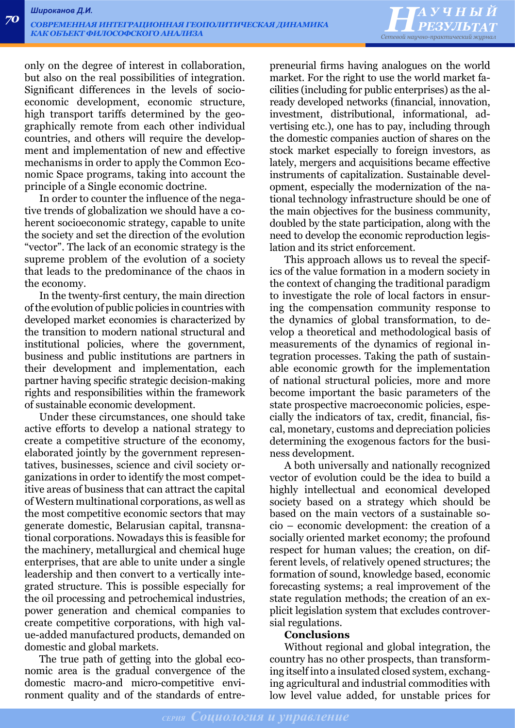*НАУЧНЫЙ Сетевой научно-практический журнал*

only on the degree of interest in collaboration, but also on the real possibilities of integration. Significant differences in the levels of socioeconomic development, economic structure, high transport tariffs determined by the geographically remote from each other individual countries, and others will require the development and implementation of new and effective mechanisms in order to apply the Common Economic Space programs, taking into account the principle of a Single economic doctrine.

In order to counter the influence of the negative trends of globalization we should have a coherent socioeconomic strategy, capable to unite the society and set the direction of the evolution "vector". The lack of an economic strategy is the supreme problem of the evolution of a society that leads to the predominance of the chaos in the economy.

In the twenty-first century, the main direction of the evolution of public policies in countries with developed market economies is characterized by the transition to modern national structural and institutional policies, where the government, business and public institutions are partners in their development and implementation, each partner having specific strategic decision-making rights and responsibilities within the framework of sustainable economic development.

Under these circumstances, one should take active efforts to develop a national strategy to create a competitive structure of the economy, elaborated jointly by the government representatives, businesses, science and civil society organizations in order to identify the most competitive areas of business that can attract the capital of Western multinational corporations, as well as the most competitive economic sectors that may generate domestic, Belarusian capital, transnational corporations. Nowadays this is feasible for the machinery, metallurgical and chemical huge enterprises, that are able to unite under a single leadership and then convert to a vertically integrated structure. This is possible especially for the oil processing and petrochemical industries, power generation and chemical companies to create competitive corporations, with high value-added manufactured products, demanded on domestic and global markets.

The true path of getting into the global economic area is the gradual convergence of the domestic macro-and micro-competitive environment quality and of the standards of entrepreneurial firms having analogues on the world market. For the right to use the world market facilities (including for public enterprises) as the already developed networks (financial, innovation, investment, distributional, informational, advertising etc.), one has to pay, including through the domestic companies auction of shares on the stock market especially to foreign investors, as lately, mergers and acquisitions became effective instruments of capitalization. Sustainable development, especially the modernization of the national technology infrastructure should be one of the main objectives for the business community, doubled by the state participation, along with the need to develop the economic reproduction legislation and its strict enforcement.

This approach allows us to reveal the specifics of the value formation in a modern society in the context of changing the traditional paradigm to investigate the role of local factors in ensuring the compensation community response to the dynamics of global transformation, to develop a theoretical and methodological basis of measurements of the dynamics of regional integration processes. Taking the path of sustainable economic growth for the implementation of national structural policies, more and more become important the basic parameters of the state prospective macroeconomic policies, especially the indicators of tax, credit, financial, fiscal, monetary, customs and depreciation policies determining the exogenous factors for the business development.

A both universally and nationally recognized vector of evolution could be the idea to build a highly intellectual and economical developed society based on a strategy which should be based on the main vectors of a sustainable socio – economic development: the creation of a socially oriented market economy; the profound respect for human values; the creation, on different levels, of relatively opened structures; the formation of sound, knowledge based, economic forecasting systems; a real improvement of the state regulation methods; the creation of an explicit legislation system that excludes controversial regulations.

### **Conclusions**

Without regional and global integration, the country has no other prospects, than transforming itself into a insulated closed system, exchanging agricultural and industrial commodities with low level value added, for unstable prices for